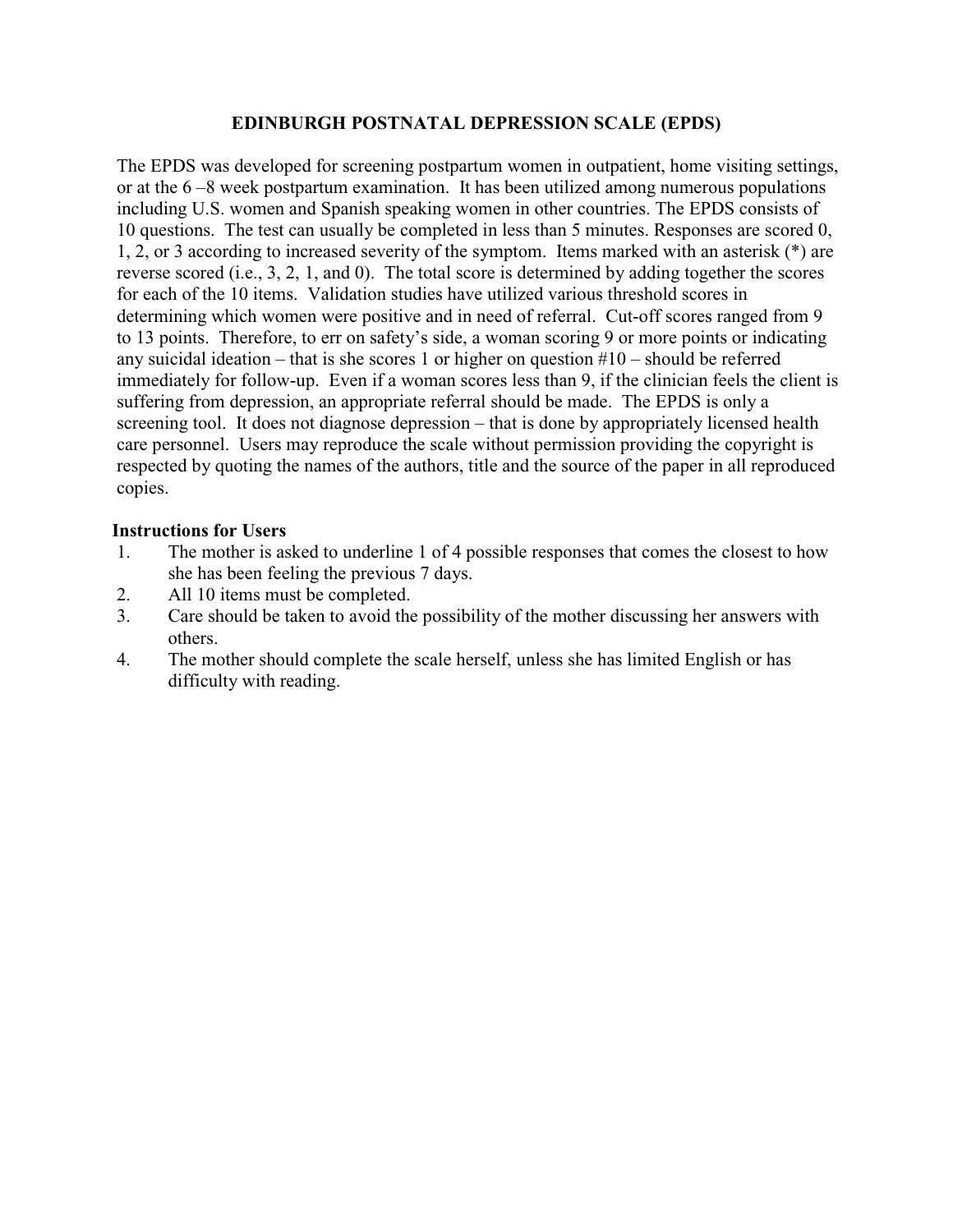## **EDINBURGH POSTNATAL DEPRESSION SCALE (EPDS)**

The EPDS was developed for screening postpartum women in outpatient, home visiting settings, or at the 6 –8 week postpartum examination. It has been utilized among numerous populations including U.S. women and Spanish speaking women in other countries. The EPDS consists of 10 questions. The test can usually be completed in less than 5 minutes. Responses are scored 0, 1, 2, or 3 according to increased severity of the symptom. Items marked with an asterisk (\*) are reverse scored (i.e., 3, 2, 1, and 0). The total score is determined by adding together the scores for each of the 10 items. Validation studies have utilized various threshold scores in determining which women were positive and in need of referral. Cut-off scores ranged from 9 to 13 points. Therefore, to err on safety's side, a woman scoring 9 or more points or indicating any suicidal ideation – that is she scores 1 or higher on question  $#10$  – should be referred immediately for follow-up. Even if a woman scores less than 9, if the clinician feels the client is suffering from depression, an appropriate referral should be made. The EPDS is only a screening tool. It does not diagnose depression – that is done by appropriately licensed health care personnel. Users may reproduce the scale without permission providing the copyright is respected by quoting the names of the authors, title and the source of the paper in all reproduced copies.

## **Instructions for Users**

- 1. The mother is asked to underline 1 of 4 possible responses that comes the closest to how she has been feeling the previous 7 days.
- 2. All 10 items must be completed.
- 3. Care should be taken to avoid the possibility of the mother discussing her answers with others.
- 4. The mother should complete the scale herself, unless she has limited English or has difficulty with reading.